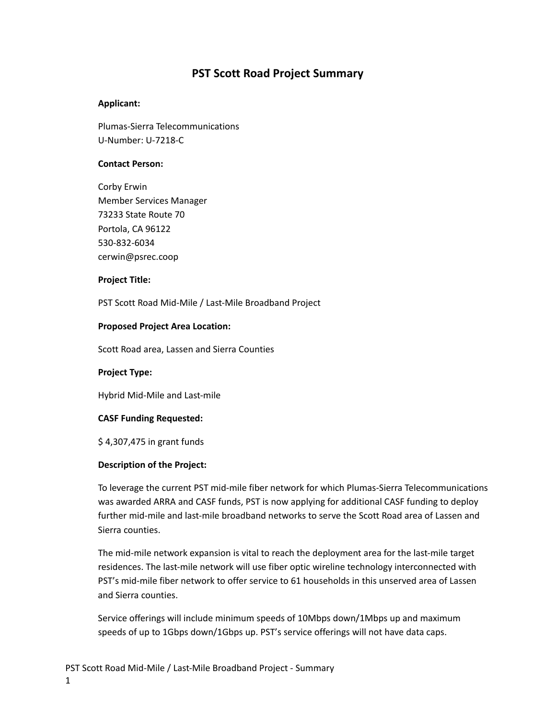# **PST Scott Road Project Summary**

# **Applicant:**

Plumas-Sierra Telecommunications U-Number: U-7218-C

# **Contact Person:**

Corby Erwin Member Services Manager 73233 State Route 70 Portola, CA 96122 530-832-6034 cerwin@psrec.coop

# **Project Title:**

PST Scott Road Mid-Mile / Last-Mile Broadband Project

# **Proposed Project Area Location:**

Scott Road area, Lassen and Sierra Counties

# **Project Type:**

Hybrid Mid-Mile and Last-mile

# **CASF Funding Requested:**

\$ 4,307,475 in grant funds

# **Description of the Project:**

To leverage the current PST mid-mile fiber network for which Plumas-Sierra Telecommunications was awarded ARRA and CASF funds, PST is now applying for additional CASF funding to deploy further mid-mile and last-mile broadband networks to serve the Scott Road area of Lassen and Sierra counties.

The mid-mile network expansion is vital to reach the deployment area for the last-mile target residences. The last-mile network will use fiber optic wireline technology interconnected with PST's mid-mile fiber network to offer service to 61 households in this unserved area of Lassen and Sierra counties.

Service offerings will include minimum speeds of 10Mbps down/1Mbps up and maximum speeds of up to 1Gbps down/1Gbps up. PST's service offerings will not have data caps.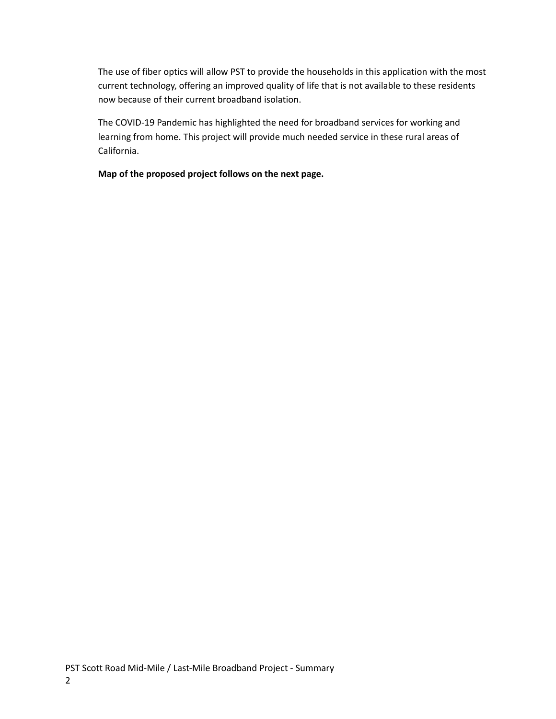The use of fiber optics will allow PST to provide the households in this application with the most current technology, offering an improved quality of life that is not available to these residents now because of their current broadband isolation.

The COVID-19 Pandemic has highlighted the need for broadband services for working and learning from home. This project will provide much needed service in these rural areas of California.

**Map of the proposed project follows on the next page.**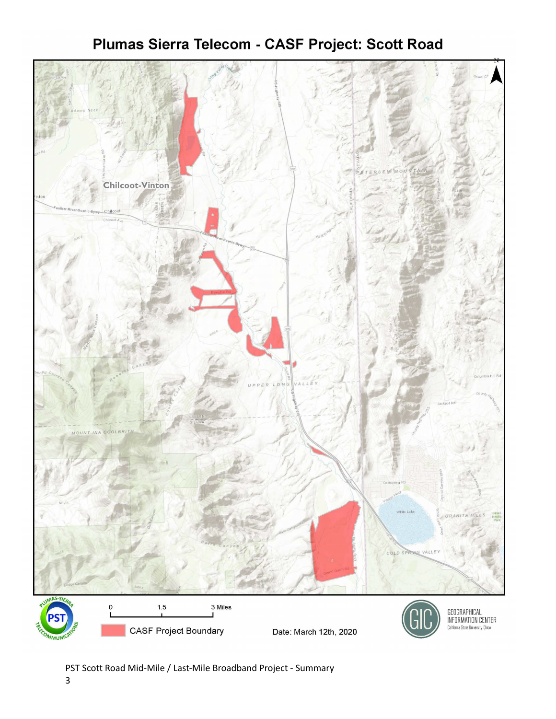# Chilcoot-Vinton COLD  $1.5$ 3 Miles GEOGRAPHICAL<br>INFORMATION CENTER **CASF Project Boundary** California State University. Chico Date: March 12th, 2020

# Plumas Sierra Telecom - CASF Project: Scott Road

PST Scott Road Mid-Mile / Last-Mile Broadband Project - Summary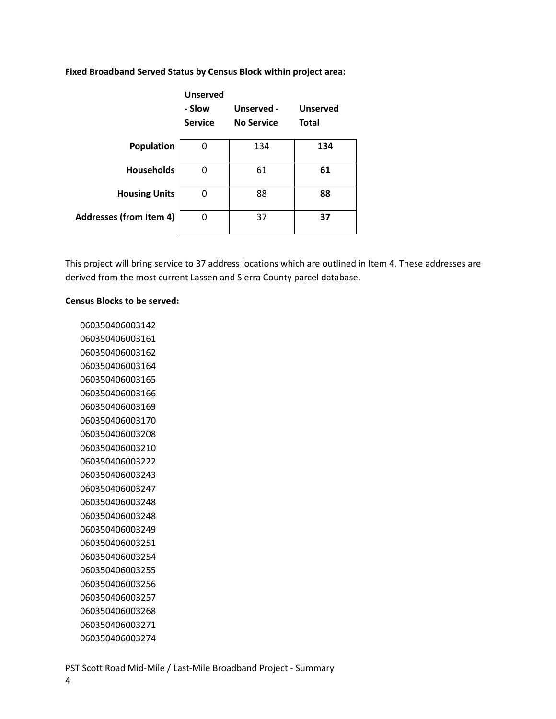|                                | <b>Unserved</b><br>- Slow<br><b>Service</b> | Unserved -<br><b>No Service</b> | <b>Unserved</b><br><b>Total</b> |
|--------------------------------|---------------------------------------------|---------------------------------|---------------------------------|
| Population                     | 0                                           | 134                             | 134                             |
| <b>Households</b>              | 0                                           | 61                              | 61                              |
| <b>Housing Units</b>           | 0                                           | 88                              | 88                              |
| <b>Addresses (from Item 4)</b> | 0                                           | 37                              | 37                              |

**Fixed Broadband Served Status by Census Block within project area:**

This project will bring service to 37 address locations which are outlined in Item 4. These addresses are derived from the most current Lassen and Sierra County parcel database.

# **Census Blocks to be served:**

PST Scott Road Mid-Mile / Last-Mile Broadband Project - Summary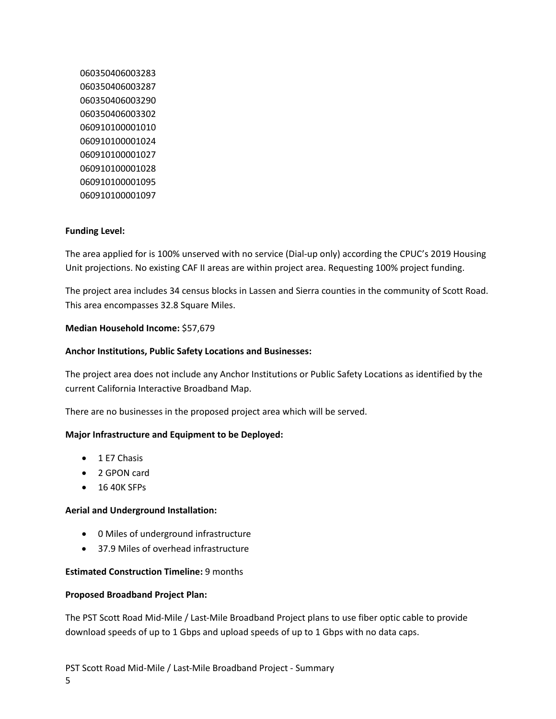# **Funding Level:**

The area applied for is 100% unserved with no service (Dial-up only) according the CPUC's 2019 Housing Unit projections. No existing CAF II areas are within project area. Requesting 100% project funding.

The project area includes 34 census blocks in Lassen and Sierra counties in the community of Scott Road. This area encompasses 32.8 Square Miles.

# **Median Household Income:** \$57,679

# **Anchor Institutions, Public Safety Locations and Businesses:**

The project area does not include any Anchor Institutions or Public Safety Locations as identified by the current California Interactive Broadband Map.

There are no businesses in the proposed project area which will be served.

# **Major Infrastructure and Equipment to be Deployed:**

- 1 E7 Chasis
- 2 GPON card
- 16 40K SFPs

# **Aerial and Underground Installation:**

- 0 Miles of underground infrastructure
- 37.9 Miles of overhead infrastructure

# **Estimated Construction Timeline:** 9 months

# **Proposed Broadband Project Plan:**

The PST Scott Road Mid-Mile / Last-Mile Broadband Project plans to use fiber optic cable to provide download speeds of up to 1 Gbps and upload speeds of up to 1 Gbps with no data caps.